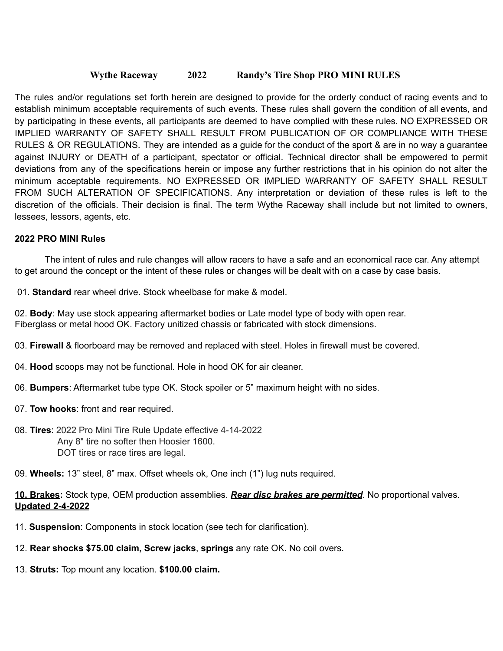## **Wythe Raceway 2022 Randy's Tire Shop PRO MINI RULES**

The rules and/or regulations set forth herein are designed to provide for the orderly conduct of racing events and to establish minimum acceptable requirements of such events. These rules shall govern the condition of all events, and by participating in these events, all participants are deemed to have complied with these rules. NO EXPRESSED OR IMPLIED WARRANTY OF SAFETY SHALL RESULT FROM PUBLICATION OF OR COMPLIANCE WITH THESE RULES & OR REGULATIONS. They are intended as a guide for the conduct of the sport & are in no way a guarantee against INJURY or DEATH of a participant, spectator or official. Technical director shall be empowered to permit deviations from any of the specifications herein or impose any further restrictions that in his opinion do not alter the minimum acceptable requirements. NO EXPRESSED OR IMPLIED WARRANTY OF SAFETY SHALL RESULT FROM SUCH ALTERATION OF SPECIFICATIONS. Any interpretation or deviation of these rules is left to the discretion of the officials. Their decision is final. The term Wythe Raceway shall include but not limited to owners, lessees, lessors, agents, etc.

#### **2022 PRO MINI Rules**

The intent of rules and rule changes will allow racers to have a safe and an economical race car. Any attempt to get around the concept or the intent of these rules or changes will be dealt with on a case by case basis.

01. **Standard** rear wheel drive. Stock wheelbase for make & model.

02. **Body**: May use stock appearing aftermarket bodies or Late model type of body with open rear. Fiberglass or metal hood OK. Factory unitized chassis or fabricated with stock dimensions.

- 03. **Firewall** & floorboard may be removed and replaced with steel. Holes in firewall must be covered.
- 04. **Hood** scoops may not be functional. Hole in hood OK for air cleaner.
- 06. **Bumpers**: Aftermarket tube type OK. Stock spoiler or 5" maximum height with no sides.
- 07. **Tow hooks**: front and rear required.
- 08. **Tires**: 2022 Pro Mini Tire Rule Update effective 4-14-2022 Any 8" tire no softer then Hoosier 1600. DOT tires or race tires are legal.
- 09. **Wheels:** 13" steel, 8" max. Offset wheels ok, One inch (1") lug nuts required.

### **10. Brakes:** Stock type, OEM production assemblies. *Rear disc brakes are permitted*. No proportional valves. **Updated 2-4-2022**

- 11. **Suspension**: Components in stock location (see tech for clarification).
- 12. **Rear shocks \$75.00 claim, Screw jacks**, **springs** any rate OK. No coil overs.
- 13. **Struts:** Top mount any location. **\$100.00 claim.**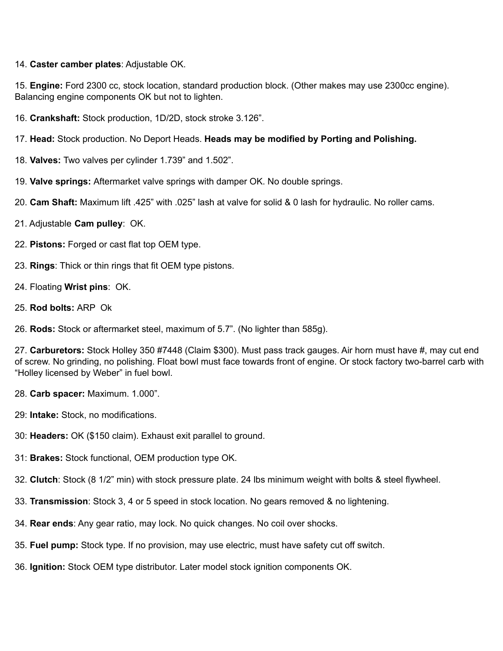#### 14. **Caster camber plates**: Adjustable OK.

15. **Engine:** Ford 2300 cc, stock location, standard production block. (Other makes may use 2300cc engine). Balancing engine components OK but not to lighten.

16. **Crankshaft:** Stock production, 1D/2D, stock stroke 3.126".

17. **Head:** Stock production. No Deport Heads. **Heads may be modified by Porting and Polishing.**

- 18. **Valves:** Two valves per cylinder 1.739" and 1.502".
- 19. **Valve springs:** Aftermarket valve springs with damper OK. No double springs.
- 20. **Cam Shaft:** Maximum lift .425" with .025" lash at valve for solid & 0 lash for hydraulic. No roller cams.
- 21. Adjustable **Cam pulley**: OK.
- 22. **Pistons:** Forged or cast flat top OEM type.
- 23. **Rings**: Thick or thin rings that fit OEM type pistons.
- 24. Floating **Wrist pins**: OK.
- 25. **Rod bolts:** ARP Ok

26. **Rods:** Stock or aftermarket steel, maximum of 5.7". (No lighter than 585g).

27. **Carburetors:** Stock Holley 350 #7448 (Claim \$300). Must pass track gauges. Air horn must have #, may cut end of screw. No grinding, no polishing. Float bowl must face towards front of engine. Or stock factory two-barrel carb with "Holley licensed by Weber" in fuel bowl.

- 28. **Carb spacer:** Maximum. 1.000".
- 29: **Intake:** Stock, no modifications.
- 30: **Headers:** OK (\$150 claim). Exhaust exit parallel to ground.
- 31: **Brakes:** Stock functional, OEM production type OK.
- 32. **Clutch**: Stock (8 1/2" min) with stock pressure plate. 24 lbs minimum weight with bolts & steel flywheel.
- 33. **Transmission**: Stock 3, 4 or 5 speed in stock location. No gears removed & no lightening.
- 34. **Rear ends**: Any gear ratio, may lock. No quick changes. No coil over shocks.
- 35. **Fuel pump:** Stock type. If no provision, may use electric, must have safety cut off switch.
- 36. **Ignition:** Stock OEM type distributor. Later model stock ignition components OK.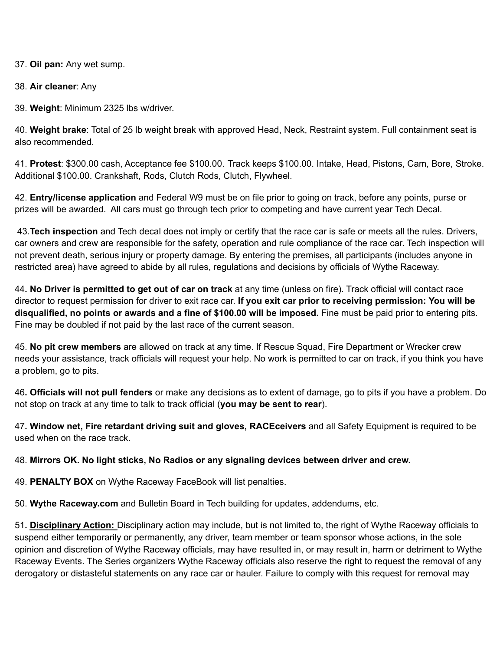37. **Oil pan:** Any wet sump.

38. **Air cleaner**: Any

39. **Weight**: Minimum 2325 lbs w/driver.

40. **Weight brake**: Total of 25 lb weight break with approved Head, Neck, Restraint system. Full containment seat is also recommended.

41. **Protest**: \$300.00 cash, Acceptance fee \$100.00. Track keeps \$100.00. Intake, Head, Pistons, Cam, Bore, Stroke. Additional \$100.00. Crankshaft, Rods, Clutch Rods, Clutch, Flywheel.

42. **Entry/license application** and Federal W9 must be on file prior to going on track, before any points, purse or prizes will be awarded. All cars must go through tech prior to competing and have current year Tech Decal.

43.**Tech inspection** and Tech decal does not imply or certify that the race car is safe or meets all the rules. Drivers, car owners and crew are responsible for the safety, operation and rule compliance of the race car. Tech inspection will not prevent death, serious injury or property damage. By entering the premises, all participants (includes anyone in restricted area) have agreed to abide by all rules, regulations and decisions by officials of Wythe Raceway.

44**. No Driver is permitted to get out of car on track** at any time (unless on fire). Track official will contact race director to request permission for driver to exit race car. **If you exit car prior to receiving permission: You will be disqualified, no points or awards and a fine of \$100.00 will be imposed.** Fine must be paid prior to entering pits. Fine may be doubled if not paid by the last race of the current season.

45. **No pit crew members** are allowed on track at any time. If Rescue Squad, Fire Department or Wrecker crew needs your assistance, track officials will request your help. No work is permitted to car on track, if you think you have a problem, go to pits.

46**. Officials will not pull fenders** or make any decisions as to extent of damage, go to pits if you have a problem. Do not stop on track at any time to talk to track official (**you may be sent to rear**).

47**. Window net, Fire retardant driving suit and gloves, RACEceivers** and all Safety Equipment is required to be used when on the race track.

48. **Mirrors OK. No light sticks, No Radios or any signaling devices between driver and crew.**

49. **PENALTY BOX** on Wythe Raceway FaceBook will list penalties.

50. **Wythe Raceway.com** and Bulletin Board in Tech building for updates, addendums, etc.

51**. Disciplinary Action:** Disciplinary action may include, but is not limited to, the right of Wythe Raceway officials to suspend either temporarily or permanently, any driver, team member or team sponsor whose actions, in the sole opinion and discretion of Wythe Raceway officials, may have resulted in, or may result in, harm or detriment to Wythe Raceway Events. The Series organizers Wythe Raceway officials also reserve the right to request the removal of any derogatory or distasteful statements on any race car or hauler. Failure to comply with this request for removal may